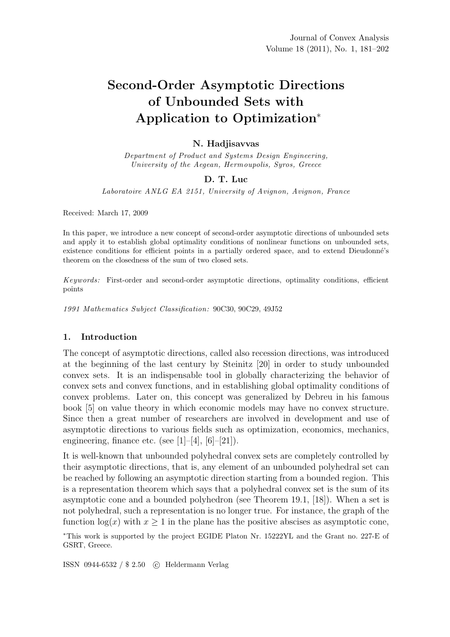# Second-Order Asymptotic Directions of Unbounded Sets with Application to Optimization<sup>∗</sup>

## N. Hadjisavvas

*Department of Product and Systems Design Engineering, University of the Aegean, Hermoupolis, Syros, Greece*

## D. T. Luc

*Laboratoire ANLG EA 2151, University of Avignon, Avignon, France*

Received: March 17, 2009

In this paper, we introduce a new concept of second-order asymptotic directions of unbounded sets and apply it to establish global optimality conditions of nonlinear functions on unbounded sets, existence conditions for efficient points in a partially ordered space, and to extend Dieudonné's theorem on the closedness of the sum of two closed sets.

*Keywords:* First-order and second-order asymptotic directions, optimality conditions, efficient points

*1991 Mathematics Subject Classification:* 90C30, 90C29, 49J52

## 1. Introduction

The concept of asymptotic directions, called also recession directions, was introduced at the beginning of the last century by Steinitz [20] in order to study unbounded convex sets. It is an indispensable tool in globally characterizing the behavior of convex sets and convex functions, and in establishing global optimality conditions of convex problems. Later on, this concept was generalized by Debreu in his famous book [5] on value theory in which economic models may have no convex structure. Since then a great number of researchers are involved in development and use of asymptotic directions to various fields such as optimization, economics, mechanics, engineering, finance etc. (see  $[1]-[4]$ ,  $[6]-[21]$ ).

It is well-known that unbounded polyhedral convex sets are completely controlled by their asymptotic directions, that is, any element of an unbounded polyhedral set can be reached by following an asymptotic direction starting from a bounded region. This is a representation theorem which says that a polyhedral convex set is the sum of its asymptotic cone and a bounded polyhedron (see Theorem 19.1, [18]). When a set is not polyhedral, such a representation is no longer true. For instance, the graph of the function  $log(x)$  with  $x \geq 1$  in the plane has the positive abscises as asymptotic cone,

<sup>∗</sup>This work is supported by the project EGIDE Platon Nr. 15222YL and the Grant no. 227-E of GSRT, Greece.

ISSN 0944-6532 / \$ 2.50 c Heldermann Verlag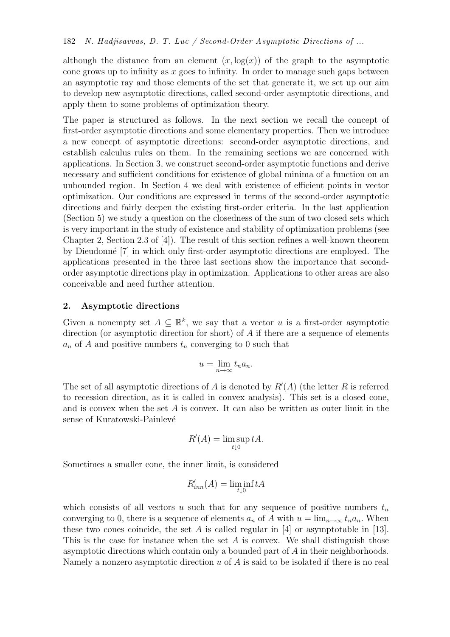although the distance from an element  $(x, \log(x))$  of the graph to the asymptotic cone grows up to infinity as  $x$  goes to infinity. In order to manage such gaps between an asymptotic ray and those elements of the set that generate it, we set up our aim to develop new asymptotic directions, called second-order asymptotic directions, and apply them to some problems of optimization theory.

The paper is structured as follows. In the next section we recall the concept of first-order asymptotic directions and some elementary properties. Then we introduce a new concept of asymptotic directions: second-order asymptotic directions, and establish calculus rules on them. In the remaining sections we are concerned with applications. In Section 3, we construct second-order asymptotic functions and derive necessary and sufficient conditions for existence of global minima of a function on an unbounded region. In Section 4 we deal with existence of efficient points in vector optimization. Our conditions are expressed in terms of the second-order asymptotic directions and fairly deepen the existing first-order criteria. In the last application (Section 5) we study a question on the closedness of the sum of two closed sets which is very important in the study of existence and stability of optimization problems (see Chapter 2, Section 2.3 of [4]). The result of this section refines a well-known theorem by Dieudonn´e [7] in which only first-order asymptotic directions are employed. The applications presented in the three last sections show the importance that secondorder asymptotic directions play in optimization. Applications to other areas are also conceivable and need further attention.

## 2. Asymptotic directions

Given a nonempty set  $A \subseteq \mathbb{R}^k$ , we say that a vector u is a first-order asymptotic direction (or asymptotic direction for short) of A if there are a sequence of elements  $a_n$  of A and positive numbers  $t_n$  converging to 0 such that

$$
u = \lim_{n \to \infty} t_n a_n.
$$

The set of all asymptotic directions of A is denoted by  $R'(A)$  (the letter R is referred to recession direction, as it is called in convex analysis). This set is a closed cone, and is convex when the set  $A$  is convex. It can also be written as outer limit in the sense of Kuratowski-Painlevé

$$
R'(A) = \limsup_{t \downarrow 0} tA.
$$

Sometimes a smaller cone, the inner limit, is considered

$$
R'_{inn}(A) = \liminf_{t \downarrow 0} tA
$$

which consists of all vectors u such that for any sequence of positive numbers  $t_n$ converging to 0, there is a sequence of elements  $a_n$  of A with  $u = \lim_{n \to \infty} t_n a_n$ . When these two cones coincide, the set A is called regular in  $[4]$  or asymptotable in  $[13]$ . This is the case for instance when the set A is convex. We shall distinguish those asymptotic directions which contain only a bounded part of A in their neighborhoods. Namely a nonzero asymptotic direction  $u$  of  $A$  is said to be isolated if there is no real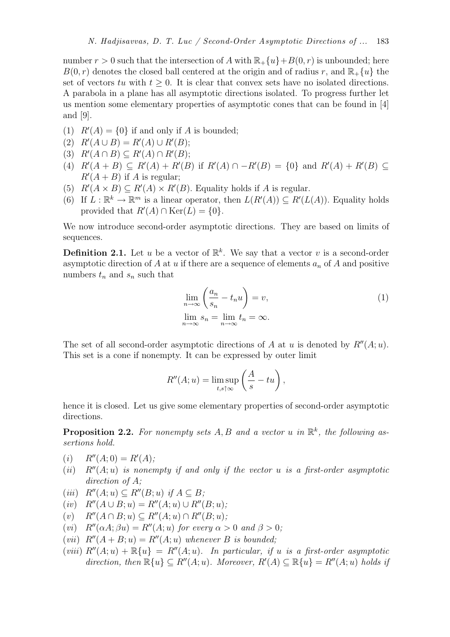number  $r > 0$  such that the intersection of A with  $\mathbb{R}_+ \{u\} + B(0, r)$  is unbounded; here  $B(0, r)$  denotes the closed ball centered at the origin and of radius r, and  $\mathbb{R}_+ \{u\}$  the set of vectors tu with  $t \geq 0$ . It is clear that convex sets have no isolated directions. A parabola in a plane has all asymptotic directions isolated. To progress further let us mention some elementary properties of asymptotic cones that can be found in [4] and [9].

- (1)  $R'(A) = \{0\}$  if and only if A is bounded;
- (2)  $R'(A \cup B) = R'(A) \cup R'(B);$
- (3)  $R'(A \cap B) \subseteq R'(A) \cap R'(B);$
- (4)  $R'(A + B) \subseteq R'(A) + R'(B)$  if  $R'(A) \cap -R'(B) = \{0\}$  and  $R'(A) + R'(B) \subseteq$  $R'(A + B)$  if A is regular;
- (5)  $R'(A \times B) \subseteq R'(A) \times R'(B)$ . Equality holds if A is regular.
- (6) If  $L : \mathbb{R}^k \to \mathbb{R}^m$  is a linear operator, then  $L(R'(A)) \subseteq R'(L(A))$ . Equality holds provided that  $R'(A) \cap \text{Ker}(L) = \{0\}.$

We now introduce second-order asymptotic directions. They are based on limits of sequences.

**Definition 2.1.** Let u be a vector of  $\mathbb{R}^k$ . We say that a vector v is a second-order asymptotic direction of A at u if there are a sequence of elements  $a_n$  of A and positive numbers  $t_n$  and  $s_n$  such that

$$
\lim_{n \to \infty} \left( \frac{a_n}{s_n} - t_n u \right) = v,
$$
\n
$$
\lim_{n \to \infty} s_n = \lim_{n \to \infty} t_n = \infty.
$$
\n(1)

The set of all second-order asymptotic directions of A at u is denoted by  $R''(A; u)$ . This set is a cone if nonempty. It can be expressed by outer limit

$$
R''(A;u) = \limsup_{t,s \uparrow \infty} \left( \frac{A}{s} - tu \right),
$$

hence it is closed. Let us give some elementary properties of second-order asymptotic directions.

**Proposition 2.2.** For nonempty sets A, B and a vector u in  $\mathbb{R}^k$ , the following as*sertions hold.*

- $(i)$   $R''(A;0) = R'(A);$
- $(iii)$   $R''(A; u)$  *is nonempty if and only if the vector* u *is a first-order asymptotic direction of* A*;*
- $(iii)$   $R''(A; u) \subseteq R''(B; u)$  *if*  $A \subseteq B$ ;
- (*iv*)  $R''(A \cup B; u) = R''(A; u) \cup R''(B; u);$ <br>(*v*)  $R''(A \cap B; u) \subset R''(A; u) \cap R''(B; u);$
- $R''(A \cap B; u) \subseteq R''(A; u) \cap R''(B; u);$
- (*vi*)  $R''(\alpha A; \beta u) = R''(A; u)$  *for every*  $\alpha > 0$  *and*  $\beta > 0$ *;*
- (*vii*)  $R''(A+B;u) = R''(A;u)$  *whenever* B *is bounded*;
- (*viii*)  $R''(A; u) + \mathbb{R}{u} = R''(A; u)$ . In particular, if u is a first-order asymptotic direction, then  $\mathbb{R}\{u\} \subseteq R''(A; u)$ *. Moreover,*  $R'(A) \subseteq \mathbb{R}\{u\} = R''(A; u)$  holds if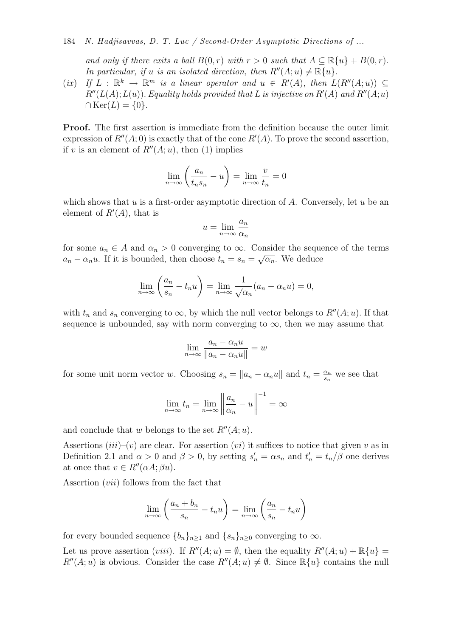184 *N. Hadjisavvas, D. T. Luc / Second-Order Asymptotic Directions of ...*

*and only if there exits a ball*  $B(0, r)$  *with*  $r > 0$  *such that*  $A \subseteq \mathbb{R}{u} + B(0, r)$ *. In particular, if* u *is an isolated direction, then*  $R''(A; u) \neq \mathbb{R}{u}$ .

 $(ix)$  *If*  $L : \mathbb{R}^k \to \mathbb{R}^m$  *is a linear operator and*  $u \in R'(A)$ , *then*  $L(R''(A; u)) \subseteq$  $R''(L(A); L(u))$ . *Equality holds provided that* L is injective on  $R'(A)$  and  $R''(A; u)$  $\cap \text{Ker}(L) = \{0\}.$ 

Proof. The first assertion is immediate from the definition because the outer limit expression of  $R''(A;0)$  is exactly that of the cone  $R'(A)$ . To prove the second assertion, if v is an element of  $R''(A; u)$ , then (1) implies

$$
\lim_{n \to \infty} \left( \frac{a_n}{t_n s_n} - u \right) = \lim_{n \to \infty} \frac{v}{t_n} = 0
$$

which shows that  $u$  is a first-order asymptotic direction of  $A$ . Conversely, let  $u$  be an element of  $R'(A)$ , that is

$$
u = \lim_{n \to \infty} \frac{a_n}{\alpha_n}
$$

for some  $a_n \in A$  and  $\alpha_n > 0$  converging to  $\infty$ . Consider the sequence of the terms  $a_n - \alpha_n u$ . If it is bounded, then choose  $t_n = s_n = \sqrt{\alpha_n}$ . We deduce

$$
\lim_{n \to \infty} \left( \frac{a_n}{s_n} - t_n u \right) = \lim_{n \to \infty} \frac{1}{\sqrt{\alpha_n}} (a_n - \alpha_n u) = 0,
$$

with  $t_n$  and  $s_n$  converging to  $\infty$ , by which the null vector belongs to  $R''(A; u)$ . If that sequence is unbounded, say with norm converging to  $\infty$ , then we may assume that

$$
\lim_{n \to \infty} \frac{a_n - \alpha_n u}{\|a_n - \alpha_n u\|} = w
$$

for some unit norm vector w. Choosing  $s_n = ||a_n - a_n u||$  and  $t_n = \frac{\alpha_n}{s_n}$  $\frac{\alpha_n}{s_n}$  we see that

$$
\lim_{n \to \infty} t_n = \lim_{n \to \infty} \left\| \frac{a_n}{\alpha_n} - u \right\|^{-1} = \infty
$$

and conclude that w belongs to the set  $R''(A; u)$ .

Assertions  $(iii)$ – $(v)$  are clear. For assertion  $(vi)$  it suffices to notice that given v as in Definition 2.1 and  $\alpha > 0$  and  $\beta > 0$ , by setting  $s_n' = \alpha s_n$  and  $t_n' = t_n/\beta$  one derives at once that  $v \in R''(\alpha A; \beta u)$ .

Assertion (vii) follows from the fact that

$$
\lim_{n \to \infty} \left( \frac{a_n + b_n}{s_n} - t_n u \right) = \lim_{n \to \infty} \left( \frac{a_n}{s_n} - t_n u \right)
$$

for every bounded sequence  ${b_n}_{n>1}$  and  ${s_n}_{n>0}$  converging to  $\infty$ .

Let us prove assertion (*viii*). If  $R''(A; u) = \emptyset$ , then the equality  $R''(A; u) + \mathbb{R}{u} =$  $R''(A; u)$  is obvious. Consider the case  $R''(A; u) \neq \emptyset$ . Since  $\mathbb{R}\{u\}$  contains the null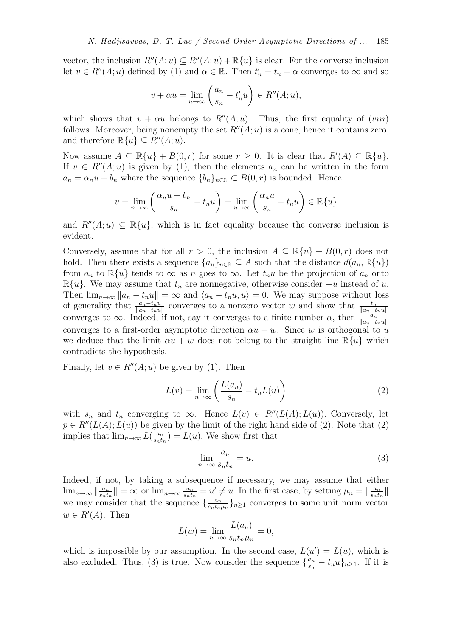vector, the inclusion  $R''(A; u) \subseteq R''(A; u) + \mathbb{R}\{u\}$  is clear. For the converse inclusion let  $v \in R''(A; u)$  defined by (1) and  $\alpha \in \mathbb{R}$ . Then  $t'_n = t_n - \alpha$  converges to  $\infty$  and so

$$
v + \alpha u = \lim_{n \to \infty} \left( \frac{a_n}{s_n} - t'_n u \right) \in R''(A; u),
$$

which shows that  $v + \alpha u$  belongs to  $R''(A; u)$ . Thus, the first equality of (viii) follows. Moreover, being nonempty the set  $R''(A; u)$  is a cone, hence it contains zero, and therefore  $\mathbb{R}\{u\} \subset R''(A; u)$ .

Now assume  $A \subseteq \mathbb{R}{u} + B(0,r)$  for some  $r \geq 0$ . It is clear that  $R'(A) \subseteq \mathbb{R}{u}$ . If  $v \in R''(A; u)$  is given by (1), then the elements  $a_n$  can be written in the form  $a_n = \alpha_n u + b_n$  where the sequence  $\{b_n\}_{n \in \mathbb{N}} \subset B(0,r)$  is bounded. Hence

$$
v = \lim_{n \to \infty} \left( \frac{\alpha_n u + b_n}{s_n} - t_n u \right) = \lim_{n \to \infty} \left( \frac{\alpha_n u}{s_n} - t_n u \right) \in \mathbb{R} \{ u \}
$$

and  $R''(A; u) \subseteq \mathbb{R}{u}$ , which is in fact equality because the converse inclusion is evident.

Conversely, assume that for all  $r > 0$ , the inclusion  $A \subseteq \mathbb{R}{u} + B(0,r)$  does not hold. Then there exists a sequence  $\{a_n\}_{n\in\mathbb{N}}\subseteq A$  such that the distance  $d(a_n,\mathbb{R}\{u\})$ from  $a_n$  to  $\mathbb{R}\{u\}$  tends to  $\infty$  as n goes to  $\infty$ . Let  $t_nu$  be the projection of  $a_n$  onto  $\mathbb{R}\{u\}$ . We may assume that  $t_n$  are nonnegative, otherwise consider  $-u$  instead of u. Then  $\lim_{n\to\infty} ||a_n - t_n u|| = \infty$  and  $\langle a_n - t_n u, u \rangle = 0$ . We may suppose without loss of generality that  $\frac{a_n-t_nu}{\|a_n-t_nu\|}$  converges to a nonzero vector w and show that  $\frac{t_n}{\|a_n-t_nu\|}$ converges to  $\infty$ . Indeed, if not, say it converges to a finite number  $\alpha$ , then  $\frac{a_n}{\|a_n-t_nu\|}$ converges to a first-order asymptotic direction  $\alpha u + w$ . Since w is orthogonal to u we deduce that the limit  $\alpha u + w$  does not belong to the straight line  $\mathbb{R}\{u\}$  which contradicts the hypothesis.

Finally, let  $v \in R''(A; u)$  be given by (1). Then

$$
L(v) = \lim_{n \to \infty} \left( \frac{L(a_n)}{s_n} - t_n L(u) \right) \tag{2}
$$

with  $s_n$  and  $t_n$  converging to  $\infty$ . Hence  $L(v) \in R''(L(A); L(u))$ . Conversely, let  $p \in R''(L(A); L(u))$  be given by the limit of the right hand side of (2). Note that (2) implies that  $\lim_{n\to\infty} L\left(\frac{a_n}{s_n t}\right)$  $\frac{a_n}{s_n t_n}$ ) =  $L(u)$ . We show first that

$$
\lim_{n \to \infty} \frac{a_n}{s_n t_n} = u.
$$
\n(3)

Indeed, if not, by taking a subsequence if necessary, we may assume that either  $\lim_{n\to\infty}$   $\left\|\frac{a_n}{s_nt}\right\|$  $\frac{a_n}{s_n t_n}$ || =  $\infty$  or  $\lim_{n\to\infty} \frac{a_n}{s_n t_n}$  $\frac{a_n}{s_n t_n} = u' \neq u$ . In the first case, by setting  $\mu_n = \|\frac{a_n}{s_n t_n}\|$  $\frac{a_n}{s_n t_n}$ || we may consider that the sequence  $\{\frac{a_n}{s_n t_{n}}\}$  $\frac{a_n}{s_n t_n \mu_n}$ <sub> $n \geq 1$ </sub> converges to some unit norm vector  $w \in R'(A)$ . Then

$$
L(w) = \lim_{n \to \infty} \frac{L(a_n)}{s_n t_n \mu_n} = 0,
$$

which is impossible by our assumption. In the second case,  $L(u') = L(u)$ , which is also excluded. Thus, (3) is true. Now consider the sequence  $\{\frac{a_n}{s_n}\}$  $\frac{a_n}{s_n} - t_n u\}_{n \geq 1}$ . If it is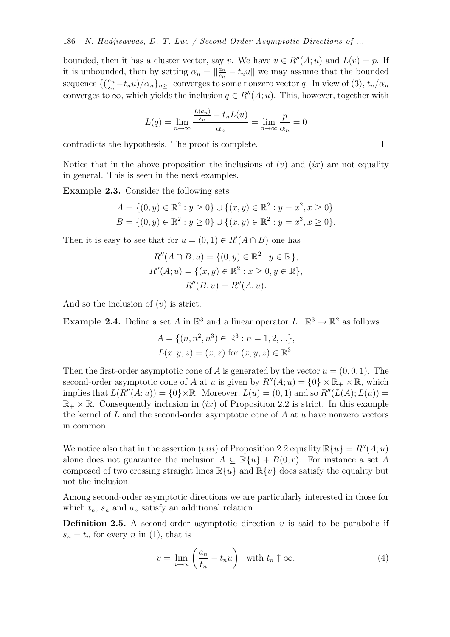bounded, then it has a cluster vector, say v. We have  $v \in R''(A; u)$  and  $L(v) = p$ . If it is unbounded, then by setting  $\alpha_n = \left\|\frac{a_n}{s_n}\right\|$  $\frac{a_n}{s_n} - t_n u$  we may assume that the bounded sequence  $\left\{\left(\frac{a_n}{s_n}\right)$  $\frac{a_n}{s_n} - t_n u) / \alpha_n$ <sub> $n \ge 1$ </sub> converges to some nonzero vector q. In view of (3),  $t_n / \alpha_n$ converges to  $\infty$ , which yields the inclusion  $q \in R''(A; u)$ . This, however, together with

$$
L(q) = \lim_{n \to \infty} \frac{\frac{L(a_n)}{s_n} - t_n L(u)}{\alpha_n} = \lim_{n \to \infty} \frac{p}{\alpha_n} = 0
$$

contradicts the hypothesis. The proof is complete.

Notice that in the above proposition the inclusions of  $(v)$  and  $(ix)$  are not equality in general. This is seen in the next examples.

Example 2.3. Consider the following sets

$$
A = \{(0, y) \in \mathbb{R}^2 : y \ge 0\} \cup \{(x, y) \in \mathbb{R}^2 : y = x^2, x \ge 0\}
$$
  

$$
B = \{(0, y) \in \mathbb{R}^2 : y \ge 0\} \cup \{(x, y) \in \mathbb{R}^2 : y = x^3, x \ge 0\}.
$$

Then it is easy to see that for  $u = (0, 1) \in R'(A \cap B)$  one has

$$
R''(A \cap B; u) = \{(0, y) \in \mathbb{R}^2 : y \in \mathbb{R}\},
$$
  
\n
$$
R''(A; u) = \{(x, y) \in \mathbb{R}^2 : x \ge 0, y \in \mathbb{R}\},
$$
  
\n
$$
R''(B; u) = R''(A; u).
$$

And so the inclusion of  $(v)$  is strict.

**Example 2.4.** Define a set A in  $\mathbb{R}^3$  and a linear operator  $L : \mathbb{R}^3 \to \mathbb{R}^2$  as follows

$$
A = \{(n, n^2, n^3) \in \mathbb{R}^3 : n = 1, 2, \ldots\},\
$$
  

$$
L(x, y, z) = (x, z) \text{ for } (x, y, z) \in \mathbb{R}^3.
$$

Then the first-order asymptotic cone of A is generated by the vector  $u = (0, 0, 1)$ . The second-order asymptotic cone of A at u is given by  $R''(A; u) = \{0\} \times \mathbb{R}_+ \times \mathbb{R}$ , which implies that  $L(R''(A;u)) = \{0\} \times \mathbb{R}$ . Moreover,  $L(u) = (0,1)$  and so  $R''(L(A); L(u)) =$  $\mathbb{R}_+ \times \mathbb{R}$ . Consequently inclusion in *(ix)* of Proposition 2.2 is strict. In this example the kernel of  $L$  and the second-order asymptotic cone of  $A$  at  $u$  have nonzero vectors in common.

We notice also that in the assertion (*viii*) of Proposition 2.2 equality  $\mathbb{R}\{u\} = R''(A; u)$ alone does not guarantee the inclusion  $A \subseteq \mathbb{R}{u} + B(0,r)$ . For instance a set A composed of two crossing straight lines  $\mathbb{R}\{u\}$  and  $\mathbb{R}\{v\}$  does satisfy the equality but not the inclusion.

Among second-order asymptotic directions we are particularly interested in those for which  $t_n$ ,  $s_n$  and  $a_n$  satisfy an additional relation.

**Definition 2.5.** A second-order asymptotic direction  $v$  is said to be parabolic if  $s_n = t_n$  for every n in (1), that is

$$
v = \lim_{n \to \infty} \left( \frac{a_n}{t_n} - t_n u \right) \quad \text{with } t_n \uparrow \infty. \tag{4}
$$

 $\Box$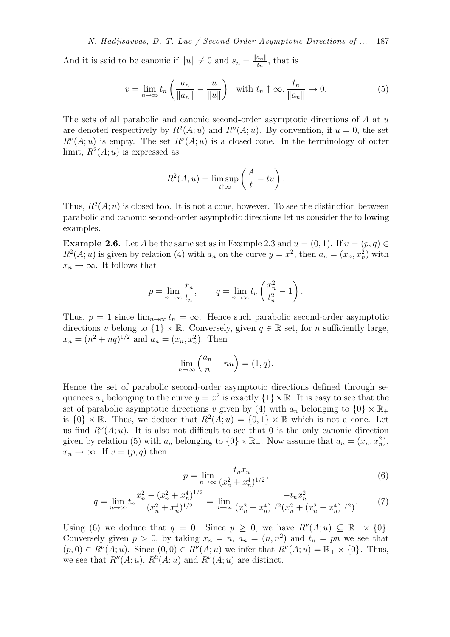And it is said to be canonic if  $||u|| \neq 0$  and  $s_n = \frac{||a_n||}{t_n}$  $\frac{a_{n\parallel}}{t_n}$ , that is

$$
v = \lim_{n \to \infty} t_n \left( \frac{a_n}{\|a_n\|} - \frac{u}{\|u\|} \right) \quad \text{with } t_n \uparrow \infty, \frac{t_n}{\|a_n\|} \to 0. \tag{5}
$$

The sets of all parabolic and canonic second-order asymptotic directions of A at u are denoted respectively by  $R^2(A; u)$  and  $R^{\nu}(A; u)$ . By convention, if  $u = 0$ , the set  $R^{\nu}(A; u)$  is empty. The set  $R^{\nu}(A; u)$  is a closed cone. In the terminology of outer limit,  $R^2(A; u)$  is expressed as

$$
R^{2}(A; u) = \limsup_{t \uparrow \infty} \left( \frac{A}{t} - tu \right).
$$

Thus,  $R^2(A; u)$  is closed too. It is not a cone, however. To see the distinction between parabolic and canonic second-order asymptotic directions let us consider the following examples.

**Example 2.6.** Let A be the same set as in Example 2.3 and  $u = (0, 1)$ . If  $v = (p, q) \in$  $R^2(A; u)$  is given by relation (4) with  $a_n$  on the curve  $y = x^2$ , then  $a_n = (x_n, x_n^2)$  with  $x_n \to \infty$ . It follows that

$$
p = \lim_{n \to \infty} \frac{x_n}{t_n}, \qquad q = \lim_{n \to \infty} t_n \left( \frac{x_n^2}{t_n^2} - 1 \right).
$$

Thus,  $p = 1$  since  $\lim_{n \to \infty} t_n = \infty$ . Hence such parabolic second-order asymptotic directions v belong to  $\{1\} \times \mathbb{R}$ . Conversely, given  $q \in \mathbb{R}$  set, for n sufficiently large,  $x_n = (n^2 + nq)^{1/2}$  and  $a_n = (x_n, x_n^2)$ . Then

$$
\lim_{n \to \infty} \left( \frac{a_n}{n} - nu \right) = (1, q).
$$

Hence the set of parabolic second-order asymptotic directions defined through sequences  $a_n$  belonging to the curve  $y = x^2$  is exactly  $\{1\} \times \mathbb{R}$ . It is easy to see that the set of parabolic asymptotic directions v given by (4) with  $a_n$  belonging to  $\{0\} \times \mathbb{R}_+$ is  $\{0\} \times \mathbb{R}$ . Thus, we deduce that  $R^2(A; u) = \{0, 1\} \times \mathbb{R}$  which is not a cone. Let us find  $R^{\nu}(A; u)$ . It is also not difficult to see that 0 is the only canonic direction given by relation (5) with  $a_n$  belonging to  $\{0\} \times \mathbb{R}_+$ . Now assume that  $a_n = (x_n, x_n^2)$ ,  $x_n \to \infty$ . If  $v = (p, q)$  then

$$
p = \lim_{n \to \infty} \frac{t_n x_n}{(x_n^2 + x_n^4)^{1/2}},\tag{6}
$$

$$
q = \lim_{n \to \infty} t_n \frac{x_n^2 - (x_n^2 + x_n^4)^{1/2}}{(x_n^2 + x_n^4)^{1/2}} = \lim_{n \to \infty} \frac{-t_n x_n^2}{(x_n^2 + x_n^4)^{1/2} (x_n^2 + (x_n^2 + x_n^4)^{1/2})}.
$$
 (7)

Using (6) we deduce that  $q = 0$ . Since  $p \ge 0$ , we have  $R^{\nu}(A; u) \subseteq \mathbb{R}_+ \times \{0\}$ . Conversely given  $p > 0$ , by taking  $x_n = n$ ,  $a_n = (n, n^2)$  and  $t_n = pn$  we see that  $(p,0) \in R^{\nu}(A;u)$ . Since  $(0,0) \in R^{\nu}(A;u)$  we infer that  $R^{\nu}(A;u) = \mathbb{R}_+ \times \{0\}$ . Thus, we see that  $R''(A; u)$ ,  $R^2(A; u)$  and  $R^{\nu}(A; u)$  are distinct.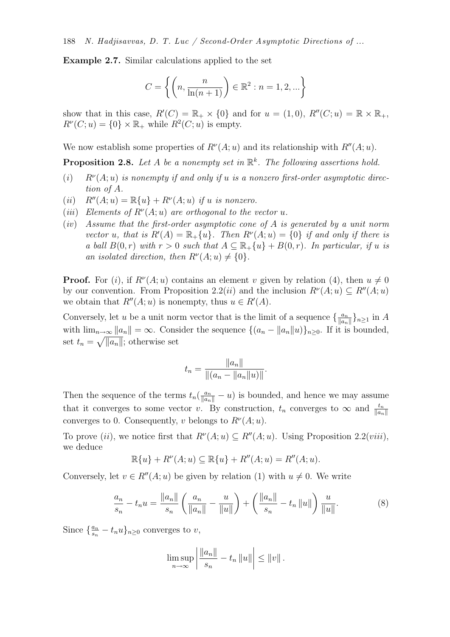Example 2.7. Similar calculations applied to the set

$$
C = \left\{ \left( n, \frac{n}{\ln(n+1)} \right) \in \mathbb{R}^2 : n = 1, 2, \dots \right\}
$$

show that in this case,  $R'(C) = \mathbb{R}_+ \times \{0\}$  and for  $u = (1,0), R''(C; u) = \mathbb{R} \times \mathbb{R}_+$ ,  $R^{\nu}(C; u) = \{0\} \times \mathbb{R}_{+}$  while  $R^{2}(C; u)$  is empty.

We now establish some properties of  $R^{\nu}(A; u)$  and its relationship with  $R''(A; u)$ .

Proposition 2.8. Let A be a nonempty set in  $\mathbb{R}^k$ . The following assertions hold.

- $(i)$   $R^{\nu}(A; u)$  *is nonempty if and only if u is a nonzero first-order asymptotic direction of* A*.*
- (*ii*)  $R''(A; u) = \mathbb{R}{u} + R^{\nu}(A; u)$  *if u is nonzero.*
- (*iii*) Elements of  $R^{\nu}(A; u)$  are orthogonal to the vector u.
- (*iv*) *Assume that the first-order asymptotic cone of* A *is generated by a unit norm vector* u, that is  $R'(A) = \mathbb{R}_+\{u\}$ . Then  $R^{\nu}(A; u) = \{0\}$  if and only if there is *a ball*  $B(0,r)$  *with*  $r > 0$  *such that*  $A \subseteq \mathbb{R}_+ \{u\} + B(0,r)$ *. In particular, if u is an isolated direction, then*  $R^{\nu}(A; u) \neq \{0\}.$

**Proof.** For (i), if  $R^{\nu}(A; u)$  contains an element v given by relation (4), then  $u \neq 0$ by our convention. From Proposition 2.2(*ii*) and the inclusion  $R^{\nu}(A; u) \subseteq R''(A; u)$ we obtain that  $R''(A; u)$  is nonempty, thus  $u \in R'(A)$ .

Conversely, let u be a unit norm vector that is the limit of a sequence  $\{\frac{a_n}{\|a_n\|}\}$  $\frac{a_n}{\|a_n\|}\}_{n\geq 1}$  in  $A$ with  $\lim_{n\to\infty} ||a_n|| = \infty$ . Consider the sequence  $\{(a_n - ||a_n||u)\}_{n\geq 0}$ . If it is bounded, set  $t_n = \sqrt{||a_n||}$ ; otherwise set

$$
t_n = \frac{\|a_n\|}{\|(a_n - \|a_n\|u)\|}.
$$

Then the sequence of the terms  $t_n(\frac{a_n}{\|a_n\|} - u)$  is bounded, and hence we may assume that it converges to some vector v. By construction,  $t_n$  converges to  $\infty$  and  $\frac{t_n}{\|a_n\|}$ converges to 0. Consequently, v belongs to  $R^{\nu}(A; u)$ .

To prove (ii), we notice first that  $R^{\nu}(A; u) \subseteq R''(A; u)$ . Using Proposition 2.2(*viii*), we deduce

$$
\mathbb{R}{u} + R^{\nu}(A; u) \subseteq \mathbb{R}{u} + R^{\nu}(A; u) = R^{\nu}(A; u).
$$

Conversely, let  $v \in R''(A; u)$  be given by relation (1) with  $u \neq 0$ . We write

$$
\frac{a_n}{s_n} - t_n u = \frac{\|a_n\|}{s_n} \left( \frac{a_n}{\|a_n\|} - \frac{u}{\|u\|} \right) + \left( \frac{\|a_n\|}{s_n} - t_n \|u\| \right) \frac{u}{\|u\|}.
$$
 (8)

Since  $\{\frac{a_n}{s_n}\}$  $\frac{a_n}{s_n} - t_n u\}_{n \geq 0}$  converges to  $v$ ,

$$
\limsup_{n \to \infty} \left| \frac{\|a_n\|}{s_n} - t_n \|u\| \right| \le \|v\|.
$$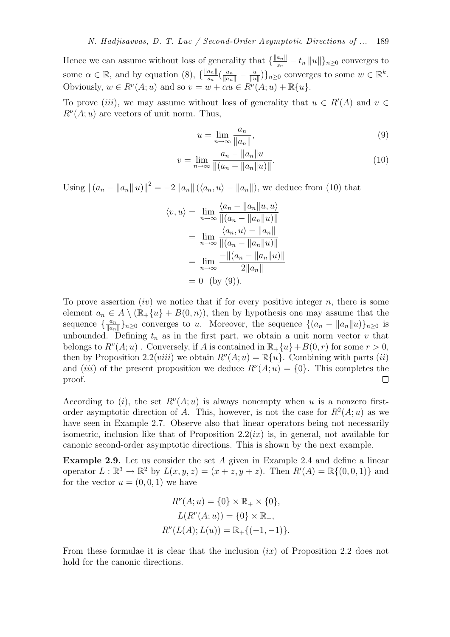Hence we can assume without loss of generality that  $\{\frac{\|a_n\|}{s_n}$  $\frac{a_{n\parallel}}{s_{n}}-t_{n}\left\Vert u\right\Vert \}_{n\geq0}$  converges to some  $\alpha \in \mathbb{R}$ , and by equation (8),  $\{\frac{\|a_n\|}{s_n}$  $\frac{a_n\|}{s_n}\left(\frac{a_n}{\|a_n\|}-\frac{u}{\|u}\right)$  $\frac{u}{\|u\|}\big)\}_n \geq 0$  converges to some  $w \in \mathbb{R}^k$ . Obviously,  $w \in R^{\nu}(A; u)$  and so  $v = w + \alpha u \in R^{\nu}(A; u) + \mathbb{R}{u}.$ 

To prove (*iii*), we may assume without loss of generality that  $u \in R'(A)$  and  $v \in$  $R^{\nu}(A; u)$  are vectors of unit norm. Thus,

$$
u = \lim_{n \to \infty} \frac{a_n}{\|a_n\|},\tag{9}
$$

$$
v = \lim_{n \to \infty} \frac{a_n - \|a_n\| u}{\|(a_n - \|a_n\| u)\|}.
$$
\n(10)

Using  $||(a_n - ||a_n|| ||u)||^2 = -2 ||a_n|| (\langle a_n, u \rangle - ||a_n||)$ , we deduce from (10) that

| $\langle v, u \rangle = \lim_{n \to \infty} \frac{\langle a_n -   a_n  u, u \rangle}{\ (a_n -   a_n  u)\ }$ |  |
|-------------------------------------------------------------------------------------------------------------|--|
| = $\lim_{n \to \infty} \frac{\langle a_n, u \rangle -   a_n  }{   (a_n -   a_n   u)   }$                    |  |
| = $\lim_{n \to \infty} \frac{-\ (a_n - \ a_n\ u)\ }{2\ a_n\ }$                                              |  |
| $= 0$ (by (9)).                                                                                             |  |

To prove assertion  $(iv)$  we notice that if for every positive integer n, there is some element  $a_n \in A \setminus (\mathbb{R}_+\{u\} + B(0,n))$ , then by hypothesis one may assume that the sequence  $\{\frac{a_n}{\|a_n\|}\}$  $\frac{a_n}{\|a_n\|}\}_{n\geq 0}$  converges to u. Moreover, the sequence  $\{(a_n - \|a_n\|u)\}_{n\geq 0}$  is unbounded. Defining  $t_n$  as in the first part, we obtain a unit norm vector v that belongs to  $R^{\nu}(A; u)$ . Conversely, if A is contained in  $\mathbb{R}_+ \{u\} + B(0, r)$  for some  $r > 0$ , then by Proposition 2.2(*viii*) we obtain  $R''(A; u) = \mathbb{R}{u}$ . Combining with parts (*ii*) and *(iii)* of the present proposition we deduce  $R^{\nu}(A; u) = \{0\}$ . This completes the proof.

According to (i), the set  $R^{\nu}(A; u)$  is always nonempty when u is a nonzero firstorder asymptotic direction of A. This, however, is not the case for  $R^2(A; u)$  as we have seen in Example 2.7. Observe also that linear operators being not necessarily isometric, inclusion like that of Proposition  $2.2(ix)$  is, in general, not available for canonic second-order asymptotic directions. This is shown by the next example.

Example 2.9. Let us consider the set A given in Example 2.4 and define a linear operator  $L : \mathbb{R}^3 \to \mathbb{R}^2$  by  $L(x, y, z) = (x + z, y + z)$ . Then  $R'(A) = \mathbb{R}\{(0, 0, 1)\}$  and for the vector  $u = (0, 0, 1)$  we have

$$
R^{\nu}(A; u) = \{0\} \times \mathbb{R}_{+} \times \{0\},
$$
  
\n
$$
L(R^{\nu}(A; u)) = \{0\} \times \mathbb{R}_{+},
$$
  
\n
$$
R^{\nu}(L(A); L(u)) = \mathbb{R}_{+}\{(-1, -1)\}.
$$

From these formulae it is clear that the inclusion  $(ix)$  of Proposition 2.2 does not hold for the canonic directions.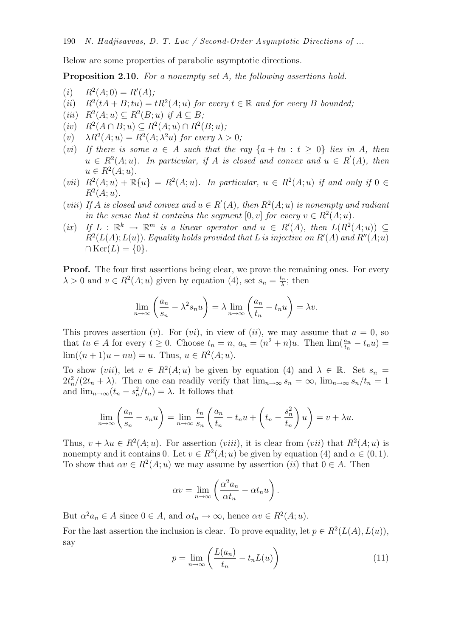Below are some properties of parabolic asymptotic directions.

Proposition 2.10. *For a nonempty set* A*, the following assertions hold.*

- $(i)$   $R^2(A; 0) = R'(A);$
- $(ii)$  $(tA + B; tu) = tR^2(A; u)$  *for every*  $t \in \mathbb{R}$  *and for every* B *bounded*;
- $(iii)$   $R^2(A; u) \subseteq R^2(B; u)$  *if*  $A \subseteq B$ ;
- $(iv)$   $R^2(A \cap B; u) \subseteq R^2(A; u) \cap R^2(B; u);$
- (*v*)  $\lambda R^2(A; u) = R^2(A; \lambda^2 u)$  for every  $\lambda > 0$ ;
- (*vi*) If there is some  $a \in A$  such that the ray  $\{a + tu : t \ge 0\}$  lies in A, then  $u \in R^2(A; u)$ . In particular, if A is closed and convex and  $u \in R'(A)$ , then  $u \in R^2(A; u).$
- $(vii)$   $R^2(A;u) + \mathbb{R}{u} = R^2(A;u)$ . In particular,  $u \in R^2(A;u)$  if and only if  $0 \in \mathbb{R}$  $R^2(A; u)$ .
- (*viii*) If A is closed and convex and  $u \in R'(A)$ , then  $R^2(A; u)$  is nonempty and radiant *in the sense that it contains the segment*  $[0, v]$  *for every*  $v \in R^2(A; u)$ *.*
- $(ix)$   $If L: \mathbb{R}^k \to \mathbb{R}^m$  *is a linear operator and*  $u \in R'(A)$ , *then*  $L(R^2(A; u)) \subseteq$  $R^2(L(A); L(u))$ . *Equality holds provided that L* is injective on  $R'(A)$  and  $R''(A; u)$  $\cap \text{Ker}(L) = \{0\}.$

**Proof.** The four first assertions being clear, we prove the remaining ones. For every  $\lambda > 0$  and  $v \in R^2(A; u)$  given by equation (4), set  $s_n = \frac{t_n}{\lambda}$  $\frac{\xi_n}{\lambda}$ ; then

$$
\lim_{n \to \infty} \left( \frac{a_n}{s_n} - \lambda^2 s_n u \right) = \lambda \lim_{n \to \infty} \left( \frac{a_n}{t_n} - t_n u \right) = \lambda v.
$$

This proves assertion (v). For (vi), in view of (ii), we may assume that  $a = 0$ , so that  $tu \in A$  for every  $t \geq 0$ . Choose  $t_n = n$ ,  $a_n = (n^2 + n)u$ . Then  $\lim_{t \to \infty} (\frac{a_n}{t_n} - t_n u) =$  $\lim((n+1)u - nu) = u$ . Thus,  $u \in R^2(A; u)$ .

To show  $(vii)$ , let  $v \in R^2(A; u)$  be given by equation (4) and  $\lambda \in \mathbb{R}$ . Set  $s_n =$  $2t_n^2/(2t_n + \lambda)$ . Then one can readily verify that  $\lim_{n\to\infty} s_n = \infty$ ,  $\lim_{n\to\infty} s_n/t_n = 1$ and  $\lim_{n\to\infty} (t_n - s_n^2/t_n) = \lambda$ . It follows that

$$
\lim_{n \to \infty} \left( \frac{a_n}{s_n} - s_n u \right) = \lim_{n \to \infty} \frac{t_n}{s_n} \left( \frac{a_n}{t_n} - t_n u + \left( t_n - \frac{s_n^2}{t_n} \right) u \right) = v + \lambda u.
$$

Thus,  $v + \lambda u \in R^2(A; u)$ . For assertion (*viii*), it is clear from (*vii*) that  $R^2(A; u)$  is nonempty and it contains 0. Let  $v \in R^2(A; u)$  be given by equation (4) and  $\alpha \in (0, 1)$ . To show that  $\alpha v \in R^2(A; u)$  we may assume by assertion  $(ii)$  that  $0 \in A$ . Then

$$
\alpha v = \lim_{n \to \infty} \left( \frac{\alpha^2 a_n}{\alpha t_n} - \alpha t_n u \right).
$$

But  $\alpha^2 a_n \in A$  since  $0 \in A$ , and  $\alpha t_n \to \infty$ , hence  $\alpha v \in R^2(A; u)$ . For the last assertion the inclusion is clear. To prove equality, let  $p \in R^2(L(A), L(u))$ , say

$$
p = \lim_{n \to \infty} \left( \frac{L(a_n)}{t_n} - t_n L(u) \right) \tag{11}
$$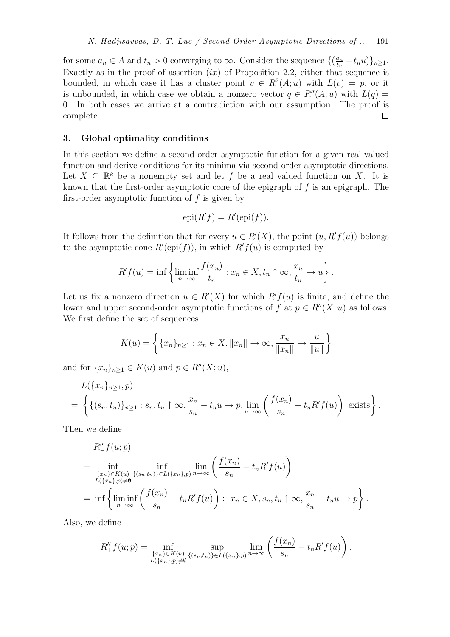for some  $a_n \in A$  and  $t_n > 0$  converging to  $\infty$ . Consider the sequence  $\{(\frac{a_n}{t_n})\}$  $\frac{a_n}{t_n}-t_nu)\}_{n\geq 1}$ . Exactly as in the proof of assertion  $(ix)$  of Proposition 2.2, either that sequence is bounded, in which case it has a cluster point  $v \in R^2(A; u)$  with  $L(v) = p$ , or it is unbounded, in which case we obtain a nonzero vector  $q \in R''(A; u)$  with  $L(q) =$ 0. In both cases we arrive at a contradiction with our assumption. The proof is complete.  $\Box$ 

### 3. Global optimality conditions

In this section we define a second-order asymptotic function for a given real-valued function and derive conditions for its minima via second-order asymptotic directions. Let  $X \subseteq \mathbb{R}^k$  be a nonempty set and let f be a real valued function on X. It is known that the first-order asymptotic cone of the epigraph of  $f$  is an epigraph. The first-order asymptotic function of  $f$  is given by

$$
epi(R'f) = R'(epi(f)).
$$

It follows from the definition that for every  $u \in R'(X)$ , the point  $(u, R'f(u))$  belongs to the asymptotic cone  $R'(\text{epi}(f))$ , in which  $R'f(u)$  is computed by

$$
R'f(u) = \inf \left\{ \liminf_{n \to \infty} \frac{f(x_n)}{t_n} : x_n \in X, t_n \uparrow \infty, \frac{x_n}{t_n} \to u \right\}.
$$

Let us fix a nonzero direction  $u \in R'(X)$  for which  $R'f(u)$  is finite, and define the lower and upper second-order asymptotic functions of f at  $p \in R''(X; u)$  as follows. We first define the set of sequences

$$
K(u) = \left\{ \{x_n\}_{n\geq 1} : x_n \in X, \|x_n\| \to \infty, \frac{x_n}{\|x_n\|} \to \frac{u}{\|u\|} \right\}
$$

and for  $\{x_n\}_{n\geq 1} \in K(u)$  and  $p \in R''(X; u)$ ,

$$
L(\lbrace x_n \rbrace_{n \ge 1}, p)
$$
  
=  $\left\{ \lbrace (s_n, t_n) \rbrace_{n \ge 1} : s_n, t_n \uparrow \infty, \frac{x_n}{s_n} - t_n u \to p, \lim_{n \to \infty} \left( \frac{f(x_n)}{s_n} - t_n R' f(u) \right) \text{ exists} \right\}.$ 

Then we define

$$
R''_-(u; p)
$$
  
=  $\inf_{\substack{\{x_n\}\in K(u) \\ L(\{x_n\},p)\neq\emptyset}} \inf_{\{(s_n,t_n)\}\in L(\{x_n\},p)} \lim_{n\to\infty} \left(\frac{f(x_n)}{s_n} - t_n R' f(u)\right)$   
=  $\inf_{n\to\infty} \left\{\liminf_{n\to\infty} \left(\frac{f(x_n)}{s_n} - t_n R' f(u)\right) : x_n \in X, s_n, t_n \uparrow \infty, \frac{x_n}{s_n} - t_n u \to p\right\}.$ 

Also, we define

$$
R''_+ f(u; p) = \inf_{\substack{\{x_n\} \in K(u) \\ L(\{x_n\}, p) \neq \emptyset}} \sup_{\{(s_n, t_n)\} \in L(\{x_n\}, p)} \lim_{n \to \infty} \left( \frac{f(x_n)}{s_n} - t_n R' f(u) \right).
$$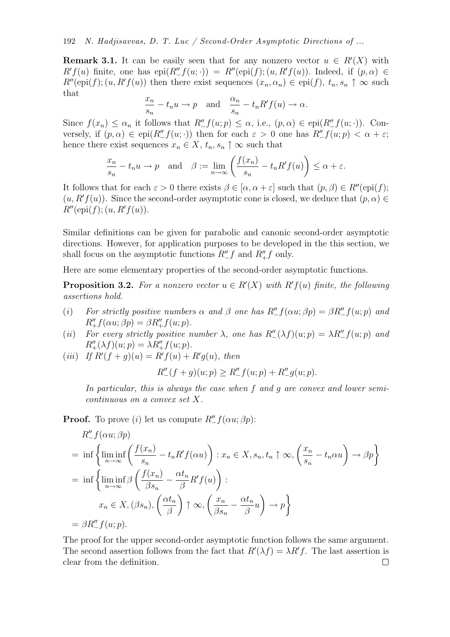**Remark 3.1.** It can be easily seen that for any nonzero vector  $u \in R'(X)$  with  $R'f(u)$  finite, one has  $epi(R''_f(u; \cdot)) = R''(epi(f); (u, R'f(u))$ . Indeed, if  $(p, \alpha) \in$  $R''(\text{epi}(f); (u, R'f(u))$  then there exist sequences  $(x_n, \alpha_n) \in \text{epi}(f), t_n, s_n \uparrow \infty$  such that

$$
\frac{x_n}{s_n} - t_n u \to p \quad \text{and} \quad \frac{\alpha_n}{s_n} - t_n R' f(u) \to \alpha.
$$

Since  $f(x_n) \leq \alpha_n$  it follows that  $R''_+ f(u; p) \leq \alpha$ , i.e.,  $(p, \alpha) \in \text{epi}(R''_+ f(u; \cdot))$ . Conversely, if  $(p, \alpha) \in \text{epi}(R''_f(u; \cdot))$  then for each  $\varepsilon > 0$  one has  $R''_f(u; p) < \alpha + \varepsilon$ ; hence there exist sequences  $x_n \in X$ ,  $t_n$ ,  $s_n \uparrow \infty$  such that

$$
\frac{x_n}{s_n} - t_n u \to p \quad \text{and} \quad \beta := \lim_{n \to \infty} \left( \frac{f(x_n)}{s_n} - t_n R' f(u) \right) \le \alpha + \varepsilon.
$$

It follows that for each  $\varepsilon > 0$  there exists  $\beta \in [\alpha, \alpha + \varepsilon]$  such that  $(p, \beta) \in R''(\text{epi}(f))$ ;  $(u, R'f(u))$ . Since the second-order asymptotic cone is closed, we deduce that  $(p, \alpha) \in$  $R''(\text{epi}(f); (u, R' f(u)).$ 

Similar definitions can be given for parabolic and canonic second-order asymptotic directions. However, for application purposes to be developed in the this section, we shall focus on the asymptotic functions  $R''_I f$  and  $R''_+ f$  only.

Here are some elementary properties of the second-order asymptotic functions.

**Proposition 3.2.** For a nonzero vector  $u \in R'(X)$  with  $R'f(u)$  finite, the following *assertions hold.*

- (*i*) For strictly positive numbers  $\alpha$  and  $\beta$  one has  $R''_- f(\alpha u; \beta p) = \beta R''_- f(u; p)$  and  $R''_+f(\alpha u;\beta p)=\beta R''_+f(u;p).$
- (*ii*) For every strictly positive number  $\lambda$ , one has  $R''_-(\lambda f)(u; p) = \lambda R''_-(u; p)$  and  $R''_+(\lambda f)(u; p) = \lambda R''_+ f(u; p).$
- $(iii)$  *If*  $R'(f+g)(u) = R'f(u) + R'g(u)$ *, then*

$$
R''_{-}(f+g)(u;p) \ge R''_{-}f(u;p) + R''_{-}g(u;p).
$$

*In particular, this is always the case when* f *and* g *are convex and lower semicontinuous on a convex set* X*.*

**Proof.** To prove (i) let us compute  $R''_{-}f(\alpha u; \beta p)$ :

$$
R''_{-}f(\alpha u; \beta p)
$$
  
=  $\inf \left\{ \liminf_{n \to \infty} \left( \frac{f(x_n)}{s_n} - t_n R' f(\alpha u) \right) : x_n \in X, s_n, t_n \uparrow \infty, \left( \frac{x_n}{s_n} - t_n \alpha u \right) \to \beta p \right\}$   
=  $\inf \left\{ \liminf_{n \to \infty} \beta \left( \frac{f(x_n)}{\beta s_n} - \frac{\alpha t_n}{\beta} R' f(u) \right) : x_n \in X, (\beta s_n), \left( \frac{\alpha t_n}{\beta} \right) \uparrow \infty, \left( \frac{x_n}{\beta s_n} - \frac{\alpha t_n}{\beta} u \right) \to p \right\}$   
=  $\beta R''_{-} f(u; p).$ 

The proof for the upper second-order asymptotic function follows the same argument. The second assertion follows from the fact that  $R'(\lambda f) = \lambda R'f$ . The last assertion is clear from the definition. $\Box$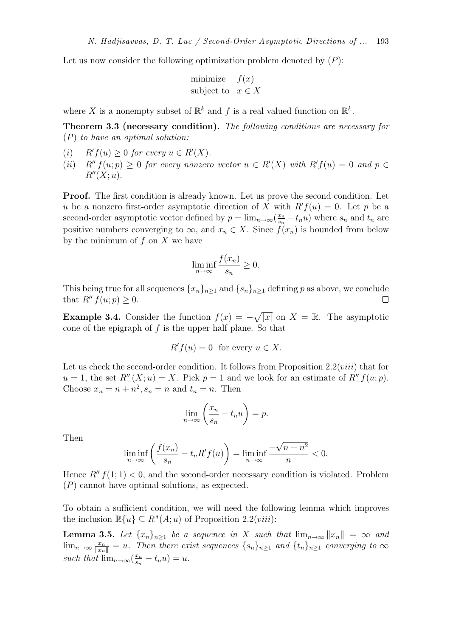Let us now consider the following optimization problem denoted by  $(P)$ :

$$
\begin{array}{ll}\text{minimize} & f(x) \\ \text{subject to} & x \in X \end{array}
$$

where X is a nonempty subset of  $\mathbb{R}^k$  and f is a real valued function on  $\mathbb{R}^k$ .

Theorem 3.3 (necessary condition). *The following conditions are necessary for* (P) *to have an optimal solution:*

- $(i)$  $f(u) \geq 0$  for every  $u \in R'(X)$ .
- (*ii*)  $R''_{-}f(u; p) \ge 0$  *for every nonzero vector*  $u \in R'(X)$  *with*  $R'f(u) = 0$  *and*  $p \in$  $R''(X; u)$ .

Proof. The first condition is already known. Let us prove the second condition. Let u be a nonzero first-order asymptotic direction of X with  $R' f(u) = 0$ . Let p be a second-order asymptotic vector defined by  $p = \lim_{n \to \infty} \left( \frac{x_n}{s_n} \right)$  $\frac{x_n}{s_n} - t_n u$  where  $s_n$  and  $t_n$  are positive numbers converging to  $\infty$ , and  $x_n \in X$ . Since  $f(x_n)$  is bounded from below by the minimum of  $f$  on  $X$  we have

$$
\liminf_{n \to \infty} \frac{f(x_n)}{s_n} \ge 0.
$$

This being true for all sequences  ${x_n}_{n\geq 1}$  and  ${s_n}_{n\geq 1}$  defining p as above, we conclude that  $R''_{-}f(u; p) \geq 0$ .

**Example 3.4.** Consider the function  $f(x) = -\sqrt{|x|}$  on  $X = \mathbb{R}$ . The asymptotic cone of the epigraph of  $f$  is the upper half plane. So that

$$
R'f(u) = 0 \text{ for every } u \in X.
$$

Let us check the second-order condition. It follows from Proposition  $2.2(viii)$  that for  $u = 1$ , the set  $R''_-(X; u) = X$ . Pick  $p = 1$  and we look for an estimate of  $R''_-(u; p)$ . Choose  $x_n = n + n^2$ ,  $s_n = n$  and  $t_n = n$ . Then

$$
\lim_{n \to \infty} \left( \frac{x_n}{s_n} - t_n u \right) = p.
$$

Then

$$
\liminf_{n \to \infty} \left( \frac{f(x_n)}{s_n} - t_n R' f(u) \right) = \liminf_{n \to \infty} \frac{-\sqrt{n+n^2}}{n} < 0.
$$

Hence  $R''_{-}f(1; 1) < 0$ , and the second-order necessary condition is violated. Problem (P) cannot have optimal solutions, as expected.

To obtain a sufficient condition, we will need the following lemma which improves the inclusion  $\mathbb{R}\{u\} \subseteq R''(A; u)$  of Proposition 2.2(*viii*):

**Lemma 3.5.** Let  $\{x_n\}_{n\geq 1}$  be a sequence in X such that  $\lim_{n\to\infty} ||x_n|| = \infty$  and  $\lim_{n\to\infty} \frac{x_n}{\|x_n\|} = u$ . Then there exist sequences  $\{s_n\}_{n\geq 1}$  and  $\{t_n\}_{n\geq 1}$  converging to  $\infty$ *such that*  $\lim_{n\to\infty}(\frac{x_n}{s_n})$  $\frac{x_n}{s_n} - t_n u$ ) = u.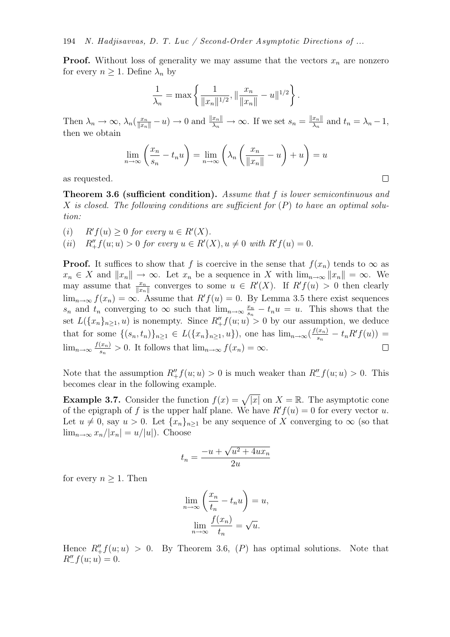**Proof.** Without loss of generality we may assume that the vectors  $x_n$  are nonzero for every  $n \geq 1$ . Define  $\lambda_n$  by

$$
\frac{1}{\lambda_n} = \max \left\{ \frac{1}{\|x_n\|^{1/2}}, \left\| \frac{x_n}{\|x_n\|} - u\right\|^{1/2} \right\}.
$$

Then  $\lambda_n \to \infty$ ,  $\lambda_n(\frac{x_n}{\|x_n\|} - u) \to 0$  and  $\frac{\|x_n\|}{\lambda_n} \to \infty$ . If we set  $s_n = \frac{\|x_n\|}{\lambda_n}$  $\frac{x_{n\parallel}}{\lambda_n}$  and  $t_n = \lambda_n - 1$ , then we obtain

$$
\lim_{n \to \infty} \left( \frac{x_n}{s_n} - t_n u \right) = \lim_{n \to \infty} \left( \lambda_n \left( \frac{x_n}{\|x_n\|} - u \right) + u \right) = u
$$

 $\Box$ 

as requested.

Theorem 3.6 (sufficient condition). *Assume that* f *is lower semicontinuous and* X *is closed. The following conditions are sufficient for* (P) *to have an optimal solution:*

- $(i)$  $f(u) \geq 0$  for every  $u \in R'(X)$ .
- (*ii*)  $R''_+ f(u; u) > 0$  *for every*  $u \in R'(X), u \neq 0$  *with*  $R' f(u) = 0$ *.*

**Proof.** It suffices to show that f is coercive in the sense that  $f(x_n)$  tends to  $\infty$  as  $x_n \in X$  and  $||x_n|| \to \infty$ . Let  $x_n$  be a sequence in X with  $\lim_{n\to\infty} ||x_n|| = \infty$ . We may assume that  $\frac{x_n}{\|x_n\|}$  converges to some  $u \in R'(X)$ . If  $R'f(u) > 0$  then clearly  $\lim_{n\to\infty} f(x_n) = \infty$ . Assume that  $R'f(u) = 0$ . By Lemma 3.5 there exist sequences  $s_n$  and  $t_n$  converging to  $\infty$  such that  $\lim_{n\to\infty} \frac{x_n}{s_n}$  $\frac{x_n}{s_n} - t_n u = u$ . This shows that the set  $L(\lbrace x_n \rbrace_{n \geq 1}, u)$  is nonempty. Since  $R''_+f(u; u) > 0$  by our assumption, we deduce that for some  $\{(s_n,t_n)\}_{n\geq 1} \in L(\{x_n\}_{n\geq 1},u\})$ , one has  $\lim_{n\to\infty}(\frac{f(x_n)}{s_n})$  $\frac{(x_n)}{s_n} - t_n R' f(u) =$  $\lim_{n\to\infty}\frac{f(x_n)}{s_n}$  $\Box$  $\frac{(x_n)}{s_n} > 0$ . It follows that  $\lim_{n \to \infty} f(x_n) = \infty$ .

Note that the assumption  $R''_+f(u;u) > 0$  is much weaker than  $R''_-f(u;u) > 0$ . This becomes clear in the following example.

**Example 3.7.** Consider the function  $f(x) = \sqrt{|x|}$  on  $X = \mathbb{R}$ . The asymptotic cone of the epigraph of f is the upper half plane. We have  $R' f(u) = 0$  for every vector u. Let  $u \neq 0$ , say  $u > 0$ . Let  $\{x_n\}_{n\geq 1}$  be any sequence of X converging to  $\infty$  (so that  $\lim_{n\to\infty}x_n/|x_n|=u/|u|$ ). Choose

$$
t_n = \frac{-u + \sqrt{u^2 + 4ux_n}}{2u}
$$

for every  $n \geq 1$ . Then

$$
\lim_{n \to \infty} \left( \frac{x_n}{t_n} - t_n u \right) = u,
$$

$$
\lim_{n \to \infty} \frac{f(x_n)}{t_n} = \sqrt{u}.
$$

Hence  $R''_+f(u;u) > 0$ . By Theorem 3.6,  $(P)$  has optimal solutions. Note that  $R''_ - f(u; u) = 0.$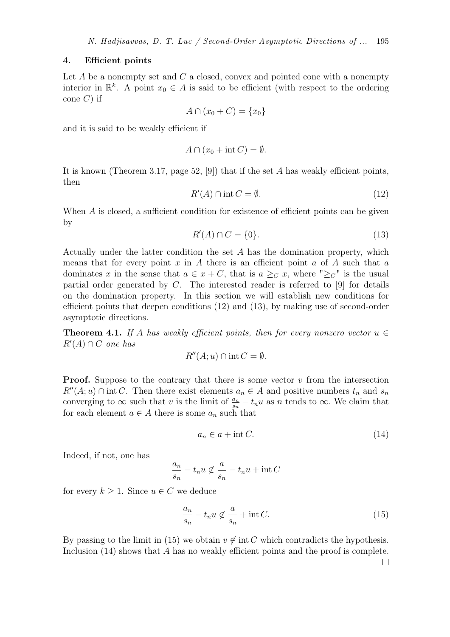### 4. Efficient points

Let  $A$  be a nonempty set and  $C$  a closed, convex and pointed cone with a nonempty interior in  $\mathbb{R}^k$ . A point  $x_0 \in A$  is said to be efficient (with respect to the ordering cone  $C$ ) if

$$
A \cap (x_0 + C) = \{x_0\}
$$

and it is said to be weakly efficient if

$$
A \cap (x_0 + \text{int } C) = \emptyset.
$$

It is known (Theorem 3.17, page 52,  $[9]$ ) that if the set A has weakly efficient points, then

$$
R'(A) \cap \text{int } C = \emptyset. \tag{12}
$$

When A is closed, a sufficient condition for existence of efficient points can be given by

$$
R'(A) \cap C = \{0\}.\tag{13}
$$

Actually under the latter condition the set  $A$  has the domination property, which means that for every point x in A there is an efficient point  $a$  of A such that  $a$ dominates x in the sense that  $a \in x + C$ , that is  $a \geq_C x$ , where " $\geq_C$ " is the usual partial order generated by  $C$ . The interested reader is referred to [9] for details on the domination property. In this section we will establish new conditions for efficient points that deepen conditions (12) and (13), by making use of second-order asymptotic directions.

**Theorem 4.1.** *If* A has weakly efficient points, then for every nonzero vector  $u \in$ R′ (A) ∩ C *one has*

$$
R''(A; u) \cap \text{int } C = \emptyset.
$$

**Proof.** Suppose to the contrary that there is some vector  $v$  from the intersection  $R''(A; u) \cap \text{int } C$ . Then there exist elements  $a_n \in A$  and positive numbers  $t_n$  and  $s_n$ converging to  $\infty$  such that v is the limit of  $\frac{a_n}{s_n} - t_n u$  as n tends to  $\infty$ . We claim that for each element  $a \in A$  there is some  $a_n$  such that

$$
a_n \in a + \text{int } C. \tag{14}
$$

Indeed, if not, one has

$$
\frac{a_n}{s_n} - t_n u \notin \frac{a}{s_n} - t_n u + \text{int } C
$$

for every  $k \geq 1$ . Since  $u \in C$  we deduce

$$
\frac{a_n}{s_n} - t_n u \notin \frac{a}{s_n} + \text{int } C.
$$
 (15)

By passing to the limit in (15) we obtain  $v \notin \text{int } C$  which contradicts the hypothesis. Inclusion (14) shows that A has no weakly efficient points and the proof is complete.

 $\Box$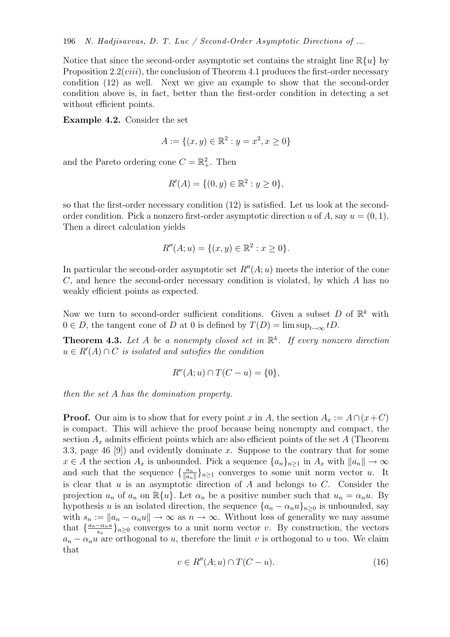Notice that since the second-order asymptotic set contains the straight line  $\mathbb{R}\{u\}$  by Proposition  $2.2(viii)$ , the conclusion of Theorem 4.1 produces the first-order necessary condition (12) as well. Next we give an example to show that the second-order condition above is, in fact, better than the first-order condition in detecting a set without efficient points.

Example 4.2. Consider the set

$$
A := \{(x, y) \in \mathbb{R}^2 : y = x^2, x \ge 0\}
$$

and the Pareto ordering cone  $C = \mathbb{R}^2_+$ . Then

$$
R'(A) = \{ (0, y) \in \mathbb{R}^2 : y \ge 0 \},\
$$

so that the first-order necessary condition (12) is satisfied. Let us look at the secondorder condition. Pick a nonzero first-order asymptotic direction u of A, say  $u = (0, 1)$ . Then a direct calculation yields

$$
R''(A;u) = \{(x,y) \in \mathbb{R}^2 : x \ge 0\}.
$$

In particular the second-order asymptotic set  $R''(A; u)$  meets the interior of the cone C, and hence the second-order necessary condition is violated, by which A has no weakly efficient points as expected.

Now we turn to second-order sufficient conditions. Given a subset D of  $\mathbb{R}^k$  with  $0 \in D$ , the tangent cone of D at 0 is defined by  $T(D) = \limsup_{t \to \infty} tD$ .

Theorem 4.3. *Let* A *be a nonempty closed set in* R k *. If every nonzero direction*  $u \in R'(A) \cap C$  *is isolated and satisfies the condition* 

$$
R^{\nu}(A; u) \cap T(C - u) = \{0\},\
$$

*then the set* A *has the domination property.*

**Proof.** Our aim is to show that for every point x in A, the section  $A_x := A \cap (x+C)$ is compact. This will achieve the proof because being nonempty and compact, the section  $A_x$  admits efficient points which are also efficient points of the set A (Theorem 3.3, page 46 [9]) and evidently dominate x. Suppose to the contrary that for some  $x \in A$  the section  $A_x$  is unbounded. Pick a sequence  $\{a_n\}_{n\geq 1}$  in  $A_x$  with  $||a_n|| \to \infty$ and such that the sequence  $\left\{\frac{a_n}{\|a_n\|}\right\}$  $\frac{a_n}{\|a_n\|}\}_{n\geq 1}$  converges to some unit norm vector u. It is clear that  $u$  is an asymptotic direction of  $A$  and belongs to  $C$ . Consider the projection  $u_n$  of  $a_n$  on  $\mathbb{R}\{u\}$ . Let  $\alpha_n$  be a positive number such that  $u_n = \alpha_n u$ . By hypothesis u is an isolated direction, the sequence  $\{a_n - \alpha_n u\}_{n>0}$  is unbounded, say with  $s_n := ||a_n - a_nu|| \to \infty$  as  $n \to \infty$ . Without loss of generality we may assume that  $\left\{\frac{a_n-\alpha_n u}{s_n}\right\}$  $\frac{-\alpha_n u}{s_n}\}_{n\geq 0}$  converges to a unit norm vector v. By construction, the vectors  $a_n - a_n u$  are orthogonal to u, therefore the limit v is orthogonal to u too. We claim that

$$
v \in R''(A; u) \cap T(C - u). \tag{16}
$$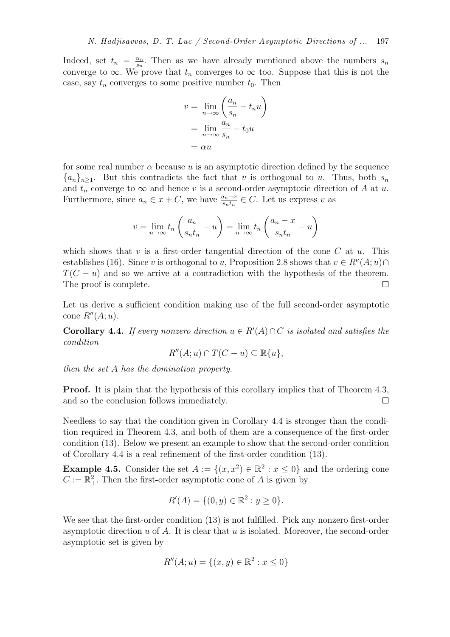Indeed, set  $t_n = \frac{\alpha_n}{s_n}$  $\frac{\alpha_n}{s_n}$ . Then as we have already mentioned above the numbers  $s_n$ converge to  $\infty$ . We prove that  $t_n$  converges to  $\infty$  too. Suppose that this is not the case, say  $t_n$  converges to some positive number  $t_0$ . Then

$$
v = \lim_{n \to \infty} \left( \frac{a_n}{s_n} - t_n u \right)
$$

$$
= \lim_{n \to \infty} \frac{a_n}{s_n} - t_0 u
$$

$$
= \alpha u
$$

for some real number  $\alpha$  because u is an asymptotic direction defined by the sequence  ${a_n}_{n>1}$ . But this contradicts the fact that v is orthogonal to u. Thus, both  $s_n$ and  $t_n$  converge to  $\infty$  and hence v is a second-order asymptotic direction of A at u. Furthermore, since  $a_n \in x + C$ , we have  $\frac{a_n - x}{s_n t_n} \in C$ . Let us express v as

$$
v = \lim_{n \to \infty} t_n \left( \frac{a_n}{s_n t_n} - u \right) = \lim_{n \to \infty} t_n \left( \frac{a_n - x}{s_n t_n} - u \right)
$$

which shows that v is a first-order tangential direction of the cone C at u. This establishes (16). Since v is orthogonal to u, Proposition 2.8 shows that  $v \in R^{\nu}(A; u) \cap$  $T(C - u)$  and so we arrive at a contradiction with the hypothesis of the theorem.<br>The proof is complete. The proof is complete.

Let us derive a sufficient condition making use of the full second-order asymptotic cone  $R''(A; u)$ .

**Corollary 4.4.** *If every nonzero direction*  $u \in R'(A) \cap C$  *is isolated and satisfies the condition*

$$
R''(A;u)\cap T(C-u)\subseteq \mathbb{R}\{u\},\
$$

*then the set* A *has the domination property.*

Proof. It is plain that the hypothesis of this corollary implies that of Theorem 4.3, and so the conclusion follows immediately.  $\Box$ 

Needless to say that the condition given in Corollary 4.4 is stronger than the condition required in Theorem 4.3, and both of them are a consequence of the first-order condition (13). Below we present an example to show that the second-order condition of Corollary 4.4 is a real refinement of the first-order condition (13).

**Example 4.5.** Consider the set  $A := \{(x, x^2) \in \mathbb{R}^2 : x \le 0\}$  and the ordering cone  $C := \mathbb{R}^2_+$ . Then the first-order asymptotic cone of A is given by

$$
R'(A) = \{ (0, y) \in \mathbb{R}^2 : y \ge 0 \}.
$$

We see that the first-order condition  $(13)$  is not fulfilled. Pick any nonzero first-order asymptotic direction  $u$  of  $A$ . It is clear that  $u$  is isolated. Moreover, the second-order asymptotic set is given by

$$
R''(A;u) = \{(x,y) \in \mathbb{R}^2 : x \le 0\}
$$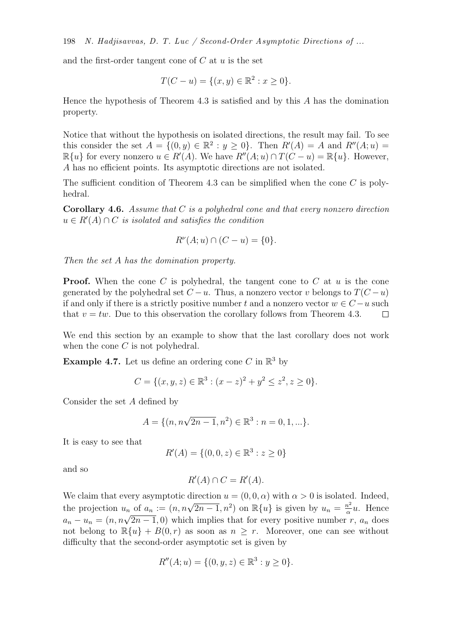198 *N. Hadjisavvas, D. T. Luc / Second-Order Asymptotic Directions of ...*

and the first-order tangent cone of  $C$  at  $u$  is the set

$$
T(C - u) = \{(x, y) \in \mathbb{R}^2 : x \ge 0\}.
$$

Hence the hypothesis of Theorem 4.3 is satisfied and by this  $A$  has the domination property.

Notice that without the hypothesis on isolated directions, the result may fail. To see this consider the set  $A = \{(0, y) \in \mathbb{R}^2 : y \ge 0\}$ . Then  $R'(A) = A$  and  $R''(A; u) =$  $\mathbb{R}\{u\}$  for every nonzero  $u \in R'(A)$ . We have  $R''(A; u) \cap T(C - u) = \mathbb{R}\{u\}$ . However, A has no efficient points. Its asymptotic directions are not isolated.

The sufficient condition of Theorem 4.3 can be simplified when the cone  $C$  is polyhedral.

Corollary 4.6. *Assume that* C *is a polyhedral cone and that every nonzero direction*  $u \in R'(A) \cap C$  *is isolated and satisfies the condition* 

$$
R^{\nu}(A; u) \cap (C - u) = \{0\}.
$$

*Then the set* A *has the domination property.*

**Proof.** When the cone C is polyhedral, the tangent cone to C at  $u$  is the cone generated by the polyhedral set  $C - u$ . Thus, a nonzero vector v belongs to  $T(C - u)$ if and only if there is a strictly positive number t and a nonzero vector  $w \in C - u$  such that  $v = tw$ . Due to this observation the corollary follows from Theorem 4.3. that  $v = tw$ . Due to this observation the corollary follows from Theorem 4.3.

We end this section by an example to show that the last corollary does not work when the cone  $C$  is not polyhedral.

**Example 4.7.** Let us define an ordering cone C in  $\mathbb{R}^3$  by

$$
C = \{(x, y, z) \in \mathbb{R}^3 : (x - z)^2 + y^2 \le z^2, z \ge 0\}.
$$

Consider the set A defined by

$$
A = \{ (n, n\sqrt{2n-1}, n^2) \in \mathbb{R}^3 : n = 0, 1, \ldots \}.
$$

It is easy to see that

$$
R'(A) = \{(0, 0, z) \in \mathbb{R}^3 : z \ge 0\}
$$

and so

$$
R'(A) \cap C = R'(A).
$$

We claim that every asymptotic direction  $u = (0, 0, \alpha)$  with  $\alpha > 0$  is isolated. Indeed, the projection  $u_n$  of  $a_n := (n, n\sqrt{2n-1}, n^2)$  on  $\mathbb{R}{u}$  is given by  $u_n = \frac{n^2}{\alpha}$  $rac{u^2}{\alpha}u$ . Hence  $a_n - u_n = (n, n\sqrt{2n-1}, 0)$  which implies that for every positive number r,  $a_n$  does not belong to  $\mathbb{R}{u} + B(0,r)$  as soon as  $n \geq r$ . Moreover, one can see without difficulty that the second-order asymptotic set is given by

$$
R''(A;u) = \{(0,y,z) \in \mathbb{R}^3 : y \ge 0\}.
$$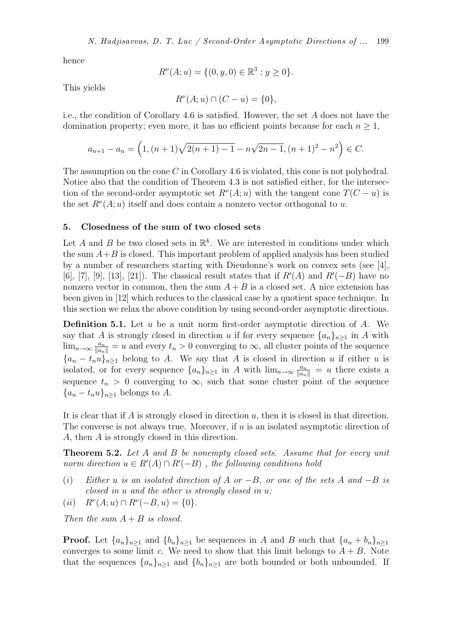hence

$$
R^{\nu}(A; u) = \{ (0, y, 0) \in \mathbb{R}^3 : y \ge 0 \}.
$$

This yields

$$
R^{\nu}(A; u) \cap (C - u) = \{0\},\
$$

i.e., the condition of Corollary 4.6 is satisfied. However, the set A does not have the domination property; even more, it has no efficient points because for each  $n \geq 1$ ,

$$
a_{n+1} - a_n = \left(1, (n+1)\sqrt{2(n+1) - 1} - n\sqrt{2n-1}, (n+1)^2 - n^2\right) \in C.
$$

The assumption on the cone C in Corollary 4.6 is violated, this cone is not polyhedral. Notice also that the condition of Theorem 4.3 is not satisfied either, for the intersection of the second-order asymptotic set  $R^{\nu}(A; u)$  with the tangent cone  $T(C - u)$  is the set  $R^{\nu}(A; u)$  itself and does contain a nonzero vector orthogonal to u.

## 5. Closedness of the sum of two closed sets

Let A and B be two closed sets in  $\mathbb{R}^k$ . We are interested in conditions under which the sum  $A+B$  is closed. This important problem of applied analysis has been studied by a number of researchers starting with Dieudonne's work on convex sets (see [4], [6], [7], [9], [13], [21]). The classical result states that if  $R'(A)$  and  $R'(-B)$  have no nonzero vector in common, then the sum  $A + B$  is a closed set. A nice extension has been given in [12] which reduces to the classical case by a quotient space technique. In this section we relax the above condition by using second-order asymptotic directions.

**Definition 5.1.** Let  $u$  be a unit norm first-order asymptotic direction of  $A$ . We say that A is strongly closed in direction u if for every sequence  $\{a_n\}_{n>1}$  in A with  $\lim_{n\to\infty} \frac{a_n}{\|a_n\|} = u$  and every  $t_n > 0$  converging to  $\infty$ , all cluster points of the sequence  ${a_n - t_n u}_{n>1}$  belong to A. We say that A is closed in direction u if either u is isolated, or for every sequence  $\{a_n\}_{n\geq 1}$  in A with  $\lim_{n\to\infty} \frac{a_n}{\|a_n\|} = u$  there exists a sequence  $t_n > 0$  converging to  $\infty$ , such that some cluster point of the sequence  ${a_n-t_nu}_{n\geq 1}$  belongs to A.

It is clear that if  $\tilde{A}$  is strongly closed in direction  $u$ , then it is closed in that direction. The converse is not always true. Moreover, if  $u$  is an isolated asymptotic direction of A, then A is strongly closed in this direction.

Theorem 5.2. *Let* A *and* B *be nonempty closed sets. Assume that for every unit norm direction*  $u \in R'(A) \cap R'(-B)$ , the following conditions hold

- (*i*) *Either* u *is an isolated direction of* A *or* −B*, or one of the sets* A *and* −B *is closed in* u *and the other is strongly closed in* u*;*
- $(iii)$  $(A; u) \cap R^{\nu}(-B, u) = \{0\}.$

*Then the sum* A + B *is closed.*

**Proof.** Let  $\{a_n\}_{n\geq 1}$  and  $\{b_n\}_{n\geq 1}$  be sequences in A and B such that  $\{a_n + b_n\}_{n\geq 1}$ converges to some limit c. We need to show that this limit belongs to  $A + B$ . Note that the sequences  $\{a_n\}_{n\geq 1}$  and  $\{b_n\}_{n\geq 1}$  are both bounded or both unbounded. If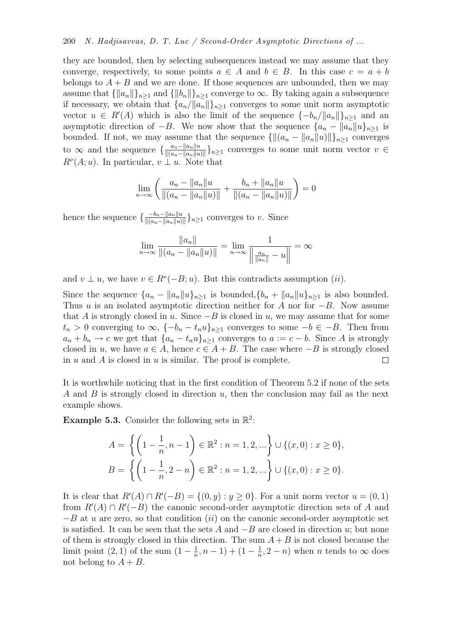### 200 *N. Hadjisavvas, D. T. Luc / Second-Order Asymptotic Directions of ...*

they are bounded, then by selecting subsequences instead we may assume that they converge, respectively, to some points  $a \in A$  and  $b \in B$ . In this case  $c = a + b$ belongs to  $A + B$  and we are done. If those sequences are unbounded, then we may assume that  ${\|a_n\|\}_{n\geq 1}$  and  ${\|b_n\|\}_{n\geq 1}$  converge to  $\infty$ . By taking again a subsequence if necessary, we obtain that  ${a_n}/{\|a_n\|\}_{n\geq 1}$  converges to some unit norm asymptotic vector  $u \in R'(A)$  which is also the limit of the sequence  $\{-b_n/\|a_n\|\}_{n\geq 1}$  and an asymptotic direction of −B. We now show that the sequence  $\{a_n - ||a_n||u\}_{n\geq 1}$  is bounded. If not, we may assume that the sequence  $\{\|(a_n - \|a_n\|u)\|\}_{n\geq 1}$  converges to  $\infty$  and the sequence  $\{\frac{a_n-\|a_n\|u}{\|(a_n-\|a_n\|u)}\}$  $\frac{a_n-\|a_n\|u}{\|(a_n-\|a_n\|u)\|}\}_n\geq 1$  converges to some unit norm vector  $v \in$  $R^{\nu}(A; u)$ . In particular,  $v \perp u$ . Note that

$$
\lim_{n \to \infty} \left( \frac{a_n - \|a_n\| u}{\|(a_n - \|a_n\| u)\|} + \frac{b_n + \|a_n\| u}{\|(a_n - \|a_n\| u)\|} \right) = 0
$$

hence the sequence  $\{\frac{-b_n-\|a_n\|u}{\|(a_n-\|a_n\|u)}\}$  $\frac{-b_n - ||a_n||u}{|| (a_n - ||a_n||u)||}$ <sub>ka</sub> converges to v. Since

$$
\lim_{n \to \infty} \frac{\|a_n\|}{\|(a_n - \|a_n\|u)\|} = \lim_{n \to \infty} \frac{1}{\left|\frac{a_n}{\|a_n\|} - u\right|} = \infty
$$

and  $v \perp u$ , we have  $v \in R^{\nu}(-B; u)$ . But this contradicts assumption  $(ii)$ .

Since the sequence  $\{a_n - ||a_n||u\}_{n\geq 1}$  is bounded,  $\{b_n + ||a_n||u\}_{n\geq 1}$  is also bounded. Thus u is an isolated asymptotic direction neither for A nor for  $-B$ . Now assume that A is strongly closed in u. Since  $-B$  is closed in u, we may assume that for some  $t_n > 0$  converging to  $\infty$ ,  $\{-b_n - t_n u\}_{n \geq 1}$  converges to some  $-b \in -B$ . Then from  $a_n + b_n \to c$  we get that  $\{a_n - t_n u\}_{n \geq 1}$  converges to  $a := c - b$ . Since A is strongly closed in u, we have  $a \in A$ , hence  $c \in A + B$ . The case where  $-B$  is strongly closed in u and A is closed in u is similar. The proof is complete. in  $u$  and  $A$  is closed in  $u$  is similar. The proof is complete.

It is worthwhile noticing that in the first condition of Theorem 5.2 if none of the sets A and B is strongly closed in direction  $u$ , then the conclusion may fail as the next example shows.

**Example 5.3.** Consider the following sets in  $\mathbb{R}^2$ :

$$
A = \left\{ \left( 1 - \frac{1}{n}, n - 1 \right) \in \mathbb{R}^2 : n = 1, 2, \ldots \right\} \cup \{ (x, 0) : x \ge 0 \},
$$
  

$$
B = \left\{ \left( 1 - \frac{1}{n}, 2 - n \right) \in \mathbb{R}^2 : n = 1, 2, \ldots \right\} \cup \{ (x, 0) : x \ge 0 \}.
$$

It is clear that  $R'(A) \cap R'(-B) = \{(0, y) : y \ge 0\}$ . For a unit norm vector  $u = (0, 1)$ from  $R'(A) \cap R'(-B)$  the canonic second-order asymptotic direction sets of A and  $-B$  at u are zero, so that condition (ii) on the canonic second-order asymptotic set is satisfied. It can be seen that the sets A and  $-B$  are closed in direction u; but none of them is strongly closed in this direction. The sum  $A + B$  is not closed because the limit point  $(2, 1)$  of the sum  $(1 - \frac{1}{n})$  $\frac{1}{n}, n-1$  +  $(1-\frac{1}{n})$  $\frac{1}{n}, 2-n$ ) when *n* tends to  $\infty$  does not belong to  $A + B$ .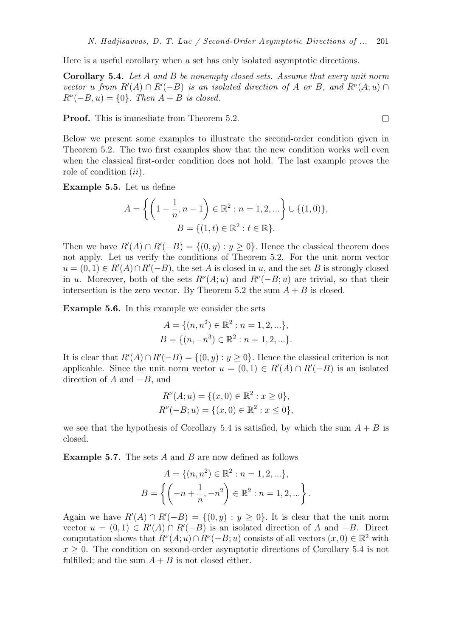Here is a useful corollary when a set has only isolated asymptotic directions.

Corollary 5.4. *Let* A *and* B *be nonempty closed sets. Assume that every unit norm vector* u from  $R'(A) \cap R'(-B)$  *is an isolated direction of* A *or* B, and  $R^{\nu}(A; u) \cap R'(-B)$  $R^{\nu}(-B, u) = \{0\}.$  *Then*  $A + B$  *is closed.* 

**Proof.** This is immediate from Theorem 5.2.

Below we present some examples to illustrate the second-order condition given in Theorem 5.2. The two first examples show that the new condition works well even when the classical first-order condition does not hold. The last example proves the role of condition  $(ii)$ .

Example 5.5. Let us define

$$
A = \left\{ \left( 1 - \frac{1}{n}, n - 1 \right) \in \mathbb{R}^2 : n = 1, 2, \dots \right\} \cup \{ (1, 0) \},
$$

$$
B = \{ (1, t) \in \mathbb{R}^2 : t \in \mathbb{R} \}.
$$

Then we have  $R'(A) \cap R'(-B) = \{(0, y) : y \ge 0\}$ . Hence the classical theorem does not apply. Let us verify the conditions of Theorem 5.2. For the unit norm vector  $u = (0, 1) \in R'(A) \cap R'(-B)$ , the set A is closed in u, and the set B is strongly closed in u. Moreover, both of the sets  $R^{\nu}(A; u)$  and  $R^{\nu}(-B; u)$  are trivial, so that their intersection is the zero vector. By Theorem 5.2 the sum  $A + B$  is closed.

Example 5.6. In this example we consider the sets

$$
A = \{(n, n^2) \in \mathbb{R}^2 : n = 1, 2, \ldots\},\
$$
  

$$
B = \{(n, -n^3) \in \mathbb{R}^2 : n = 1, 2, \ldots\}.
$$

It is clear that  $R'(A) \cap R'(-B) = \{(0, y) : y \ge 0\}$ . Hence the classical criterion is not applicable. Since the unit norm vector  $u = (0,1) \in R'(A) \cap R'(-B)$  is an isolated direction of  $A$  and  $-B$ , and

$$
R^{\nu}(A; u) = \{ (x, 0) \in \mathbb{R}^2 : x \ge 0 \},
$$
  

$$
R^{\nu}(-B; u) = \{ (x, 0) \in \mathbb{R}^2 : x \le 0 \},
$$

we see that the hypothesis of Corollary 5.4 is satisfied, by which the sum  $A + B$  is closed.

**Example 5.7.** The sets  $A$  and  $B$  are now defined as follows

$$
A = \{(n, n^2) \in \mathbb{R}^2 : n = 1, 2, ...\},
$$
  

$$
B = \left\{ \left( -n + \frac{1}{n}, -n^2 \right) \in \mathbb{R}^2 : n = 1, 2, ...\right\}.
$$

Again we have  $R'(A) \cap R'(-B) = \{(0, y) : y \ge 0\}$ . It is clear that the unit norm vector  $u = (0, 1) \in R'(A) \cap R'(-B)$  is an isolated direction of A and  $-B$ . Direct computation shows that  $R^{\nu}(A; u) \cap R^{\nu}(-B; u)$  consists of all vectors  $(x, 0) \in \mathbb{R}^2$  with  $x \geq 0$ . The condition on second-order asymptotic directions of Corollary 5.4 is not fulfilled; and the sum  $A + B$  is not closed either.

$$
\Box
$$